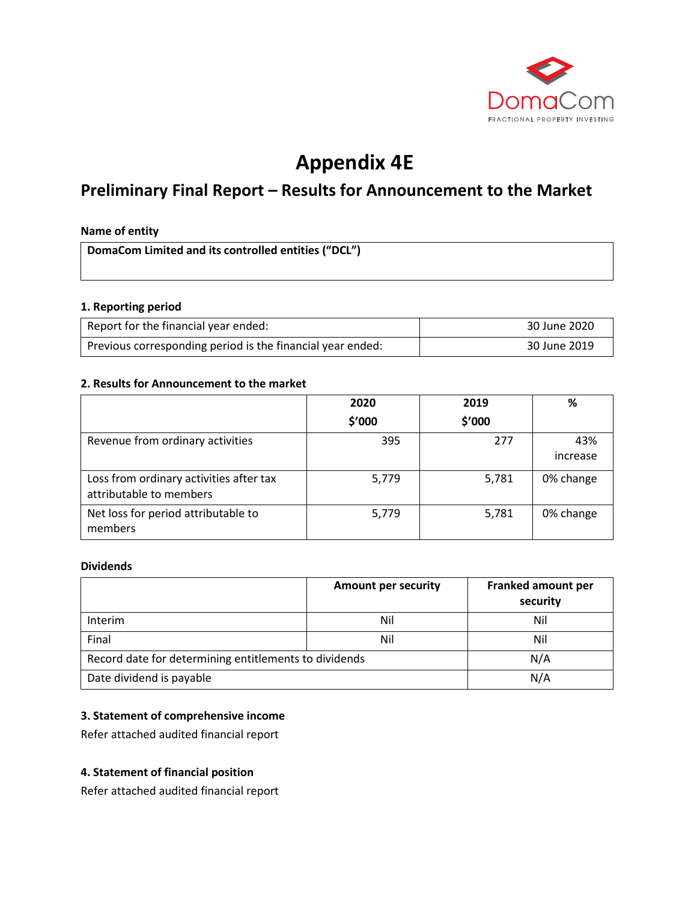

# **Appendix 4E**

# **Preliminary Final Report – Results for Announcement to the Market**

#### **Name of entity**

**DomaCom Limited and its controlled entities ("DCL")**

#### **1. Reporting period**

| Report for the financial year ended:                       | 30 June 2020 |
|------------------------------------------------------------|--------------|
| Previous corresponding period is the financial year ended: | 30 June 2019 |

#### **2. Results for Announcement to the market**

|                                                                    | 2020   | 2019   | %               |
|--------------------------------------------------------------------|--------|--------|-----------------|
|                                                                    | \$′000 | \$'000 |                 |
| Revenue from ordinary activities                                   | 395    | 277    | 43%<br>increase |
| Loss from ordinary activities after tax<br>attributable to members | 5,779  | 5,781  | 0% change       |
| Net loss for period attributable to<br>members                     | 5,779  | 5,781  | 0% change       |

#### **Dividends**

|                                                       | <b>Amount per security</b> | Franked amount per<br>security |
|-------------------------------------------------------|----------------------------|--------------------------------|
| Interim                                               | Nil                        | Nil                            |
| Final                                                 | Nil                        | Nil                            |
| Record date for determining entitlements to dividends |                            | N/A                            |
| Date dividend is payable                              |                            | N/A                            |

# **3. Statement of comprehensive income**

Refer attached audited financial report

#### **4. Statement of financial position**

Refer attached audited financial report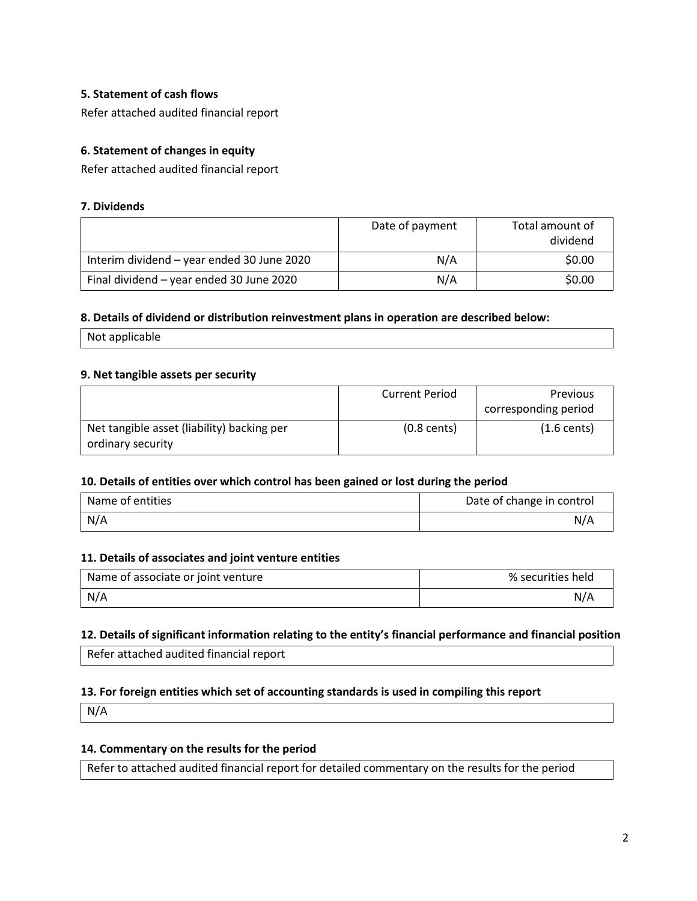## **5. Statement of cash flows**

Refer attached audited financial report

# **6. Statement of changes in equity**

Refer attached audited financial report

#### **7. Dividends**

|                                            | Date of payment | Total amount of<br>dividend |
|--------------------------------------------|-----------------|-----------------------------|
| Interim dividend - year ended 30 June 2020 | N/A             | \$0.00                      |
| Final dividend - year ended 30 June 2020   | N/A             | \$0.00                      |

#### **8. Details of dividend or distribution reinvestment plans in operation are described below:**

Not applicable

#### **9. Net tangible assets per security**

|                                            | <b>Current Period</b> | <b>Previous</b>       |
|--------------------------------------------|-----------------------|-----------------------|
|                                            |                       | corresponding period  |
| Net tangible asset (liability) backing per | $(0.8 \text{ cents})$ | $(1.6 \text{ cents})$ |
| ordinary security                          |                       |                       |

#### **10. Details of entities over which control has been gained or lost during the period**

| Name of entities | Date of change in control |
|------------------|---------------------------|
| N/A              | N/A                       |

#### **11. Details of associates and joint venture entities**

| Name of associate or joint venture | % securities held |
|------------------------------------|-------------------|
| N/A                                | N/A               |

#### **12. Details of significant information relating to the entity's financial performance and financial position**

Refer attached audited financial report

#### **13. For foreign entities which set of accounting standards is used in compiling this report**

N/A

# **14. Commentary on the results for the period**

Refer to attached audited financial report for detailed commentary on the results for the period